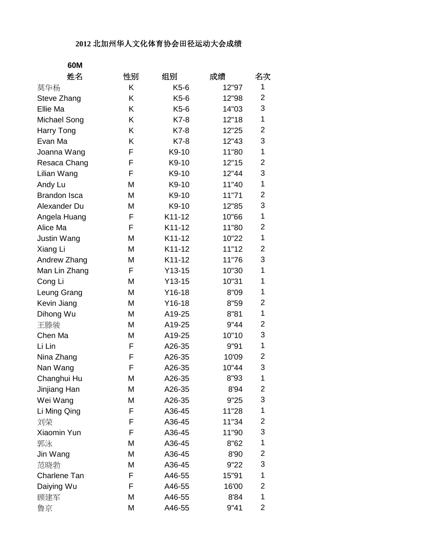## **2012** 北加州华人文化体育协会田径运动大会成绩

| 60M                 |    |          |       |                |
|---------------------|----|----------|-------|----------------|
| 姓名                  | 性别 | 组别       | 成绩    | 名次             |
| 莫华杨                 | K  | K5-6     | 12"97 | 1              |
| Steve Zhang         | K  | K5-6     | 12"98 | 2              |
| Ellie Ma            | K  | K5-6     | 14"03 | 3              |
| Michael Song        | Κ  | K7-8     | 12"18 | 1              |
| Harry Tong          | Κ  | $K7-8$   | 12"25 | 2              |
| Evan Ma             | K  | K7-8     | 12"43 | 3              |
| Joanna Wang         | F  | K9-10    | 11"80 | 1              |
| Resaca Chang        | F  | K9-10    | 12"15 | 2              |
| Lilian Wang         | F  | K9-10    | 12"44 | 3              |
| Andy Lu             | M  | K9-10    | 11"40 | 1              |
| <b>Brandon Isca</b> | M  | K9-10    | 11"71 | 2              |
| Alexander Du        | M  | K9-10    | 12"85 | 3              |
| Angela Huang        | F  | K11-12   | 10"66 | 1              |
| Alice Ma            | F  | K11-12   | 11"80 | 2              |
| <b>Justin Wang</b>  | M  | K11-12   | 10"22 | 1              |
| Xiang Li            | M  | K11-12   | 11"12 | 2              |
| Andrew Zhang        | M  | K11-12   | 11"76 | 3              |
| Man Lin Zhang       | F  | $Y13-15$ | 10"30 | 1              |
| Cong Li             | M  | $Y13-15$ | 10"31 | 1              |
| Leung Grang         | M  | $Y16-18$ | 8"09  | 1              |
| Kevin Jiang         | M  | $Y16-18$ | 8"59  | 2              |
| Dihong Wu           | M  | A19-25   | 8"81  | 1              |
| 王滕骏                 | M  | A19-25   | 9"44  | 2              |
| Chen Ma             | M  | A19-25   | 10"10 | 3              |
| Li Lin              | F  | A26-35   | 9"91  | 1              |
| Nina Zhang          | F  | A26-35   | 10'09 | $\overline{c}$ |
| Nan Wang            | F  | A26-35   | 10"44 | 3              |
| Changhui Hu         | M  | A26-35   | 8"93  | 1              |
| Jinjiang Han        | M  | A26-35   | 8'94  | 2              |
| Wei Wang            | Μ  | A26-35   | 9"25  | 3              |
| Li Ming Qing        | F  | A36-45   | 11"28 | 1              |
| 刘荣                  | F  | A36-45   | 11"34 | 2              |
| Xiaomin Yun         | F  | A36-45   | 11"90 | 3              |
| 郭泳                  | M  | A36-45   | 8"62  | 1              |
| Jin Wang            | M  | A36-45   | 8'90  | $\overline{c}$ |
| 范晓勃                 | М  | A36-45   | 9"22  | 3              |
| Charlene Tan        | F  | A46-55   | 15"91 | 1              |
| Daiying Wu          | F  | A46-55   | 16'00 | 2              |
| 顾建军                 | M  | A46-55   | 8'84  | 1              |
| 鲁京                  | M  | A46-55   | 9"41  | 2              |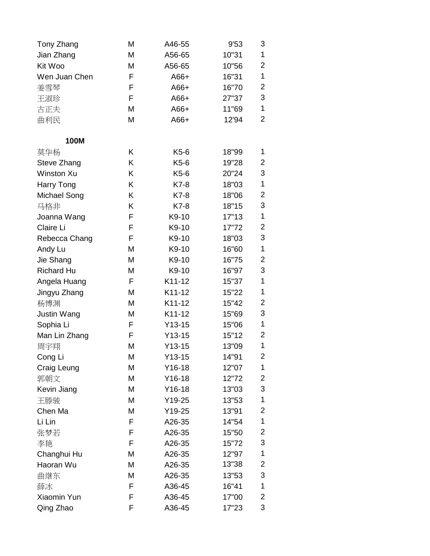| Tony Zhang         | Μ | A46-55   | 9'53  | 3              |
|--------------------|---|----------|-------|----------------|
| Jian Zhang         | Μ | A56-65   | 10"31 | 1              |
| Kit Woo            | M | A56-65   | 10"56 | 2              |
| Wen Juan Chen      | F | $A66+$   | 16"31 | 1              |
| 姜雪琴                | F | $A66+$   | 16"70 | 2              |
| 王淑珍                | F | $A66+$   | 27"37 | 3              |
| 古正夫                | M | $A66+$   | 11"69 | 1              |
| 曲利民                | M | $A66+$   | 12'94 | 2              |
| 100M               |   |          |       |                |
| 莫华杨                | Κ | $K5-6$   | 18"99 | 1              |
| Steve Zhang        | Κ | K5-6     | 19"28 | 2              |
| <b>Winston Xu</b>  | Κ | K5-6     | 20"24 | 3              |
| Harry Tong         | Κ | K7-8     | 18"03 | 1              |
| Michael Song       | Κ | K7-8     | 18"06 | 2              |
| 马格非                | K | K7-8     | 18"15 | 3              |
| Joanna Wang        | F | K9-10    | 17"13 | 1              |
| Claire Li          | F | K9-10    | 17"72 | $\overline{c}$ |
| Rebecca Chang      | F | K9-10    | 18"03 | 3              |
| Andy Lu            | M | K9-10    | 16"60 | 1              |
| Jie Shang          | M | K9-10    | 16"75 | 2              |
| <b>Richard Hu</b>  | М | K9-10    | 16"97 | 3              |
| Angela Huang       | F | K11-12   | 15"37 | 1              |
| Jingyu Zhang       | M | K11-12   | 15"22 | 1              |
| 杨博渊                | M | K11-12   | 15"42 | 2              |
| <b>Justin Wang</b> | Μ | K11-12   | 15"69 | 3              |
| Sophia Li          | F | $Y13-15$ | 15"06 | 1              |
| Man Lin Zhang      | F | $Y13-15$ | 15"12 | 2              |
| 周宇翔                | M | $Y13-15$ | 13"09 | 1              |
| Cong Li            | Μ | $Y13-15$ | 14"91 | 2              |
| Craig Leung        | М | $Y16-18$ | 12"07 | 1              |
| 郭朝文                | M | $Y16-18$ | 12"72 | 2              |
| Kevin Jiang        | M | $Y16-18$ | 13"03 | 3              |
| 王滕骏                | M | Y19-25   | 13"53 | 1              |
| Chen Ma            | М | Y19-25   | 13"91 | 2              |
| Li Lin             | F | A26-35   | 14"54 | 1              |
| 张梦若                | F | A26-35   | 15"50 | 2              |
| 李艳                 | F | A26-35   | 15"72 | 3              |
| Changhui Hu        | M | A26-35   | 12"97 | 1              |
| Haoran Wu          | Μ | A26-35   | 13"38 | 2              |
| 曲继东                | M | A26-35   | 13"53 | 3              |
| 薛冰                 | F | A36-45   | 16"41 | 1              |
| Xiaomin Yun        | F | A36-45   | 17"00 | 2              |
| Qing Zhao          | F | A36-45   | 17"23 | 3              |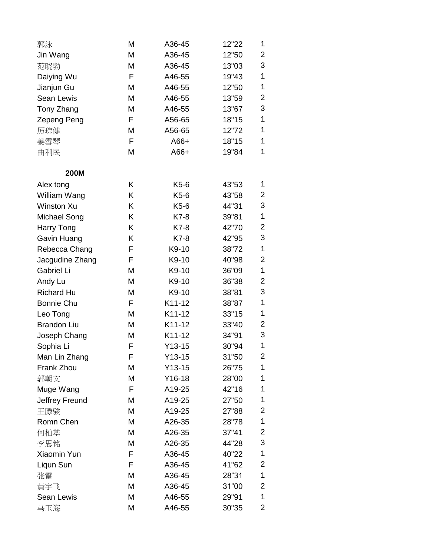| 郭泳                 | M | A36-45   | 12"22 | 1 |
|--------------------|---|----------|-------|---|
| Jin Wang           | M | A36-45   | 12"50 | 2 |
| 范晓勃                | M | A36-45   | 13"03 | 3 |
| Daiying Wu         | F | A46-55   | 19"43 | 1 |
| Jianjun Gu         | M | A46-55   | 12"50 | 1 |
| Sean Lewis         | M | A46-55   | 13"59 | 2 |
| Tony Zhang         | M | A46-55   | 13"67 | 3 |
| Zepeng Peng        | F | A56-65   | 18"15 | 1 |
| 厉琮健                | M | A56-65   | 12"72 | 1 |
| 姜雪琴                | F | A66+     | 18"15 | 1 |
| 曲利民                | M | $A66+$   | 19"84 | 1 |
| <b>200M</b>        |   |          |       |   |
| Alex tong          | Κ | K5-6     | 43"53 | 1 |
| William Wang       | Κ | K5-6     | 43"58 | 2 |
| <b>Winston Xu</b>  | K | K5-6     | 44"31 | 3 |
| Michael Song       | Κ | K7-8     | 39"81 | 1 |
| Harry Tong         | Κ | K7-8     | 42"70 | 2 |
| Gavin Huang        | Κ | K7-8     | 42"95 | 3 |
| Rebecca Chang      | F | K9-10    | 38"72 | 1 |
| Jacgudine Zhang    | F | K9-10    | 40"98 | 2 |
| Gabriel Li         | M | K9-10    | 36"09 | 1 |
| Andy Lu            | M | K9-10    | 36"38 | 2 |
| <b>Richard Hu</b>  | M | K9-10    | 38"81 | 3 |
| <b>Bonnie Chu</b>  | F | K11-12   | 38"87 | 1 |
| Leo Tong           | M | K11-12   | 33"15 | 1 |
| <b>Brandon Liu</b> | M | K11-12   | 33"40 | 2 |
| Joseph Chang       | M | K11-12   | 34"91 | 3 |
| Sophia Li          | F | $Y13-15$ | 30"94 | 1 |
| Man Lin Zhang      | F | $Y13-15$ | 31"50 | 2 |
| Frank Zhou         | M | $Y13-15$ | 26"75 | 1 |
| 郭朝文                | Μ | $Y16-18$ | 28"00 | 1 |
| Muge Wang          | F | A19-25   | 42"16 | 1 |
| Jeffrey Freund     | M | A19-25   | 27"50 | 1 |
| 王滕骏                | M | A19-25   | 27"88 | 2 |
| Romn Chen          | M | A26-35   | 28"78 | 1 |
| 何柏基                | M | A26-35   | 37"41 | 2 |
| 李思铭                | M | A26-35   | 44"28 | 3 |
| Xiaomin Yun        | F | A36-45   | 40"22 | 1 |
| Liqun Sun          | F | A36-45   | 41"62 | 2 |
| 张雷                 | M | A36-45   | 28"31 | 1 |
| 黄宇飞                | M | A36-45   | 31"00 | 2 |
| Sean Lewis         | M | A46-55   | 29"91 | 1 |
| 马玉海                | M | A46-55   | 30"35 | 2 |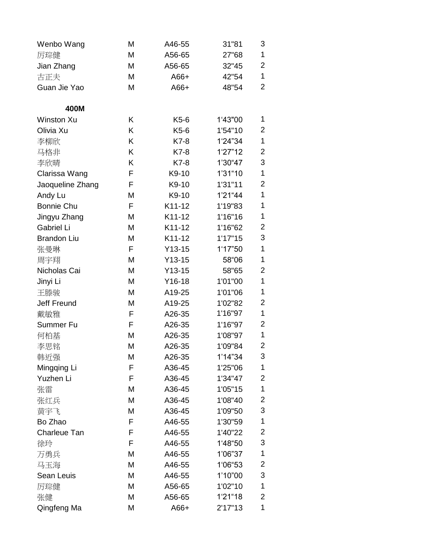| Wenbo Wang          | Μ | A46-55   | 31"81    | 3              |
|---------------------|---|----------|----------|----------------|
| 厉琮健                 | M | A56-65   | 27"68    | 1              |
| Jian Zhang          | M | A56-65   | 32"45    | $\overline{2}$ |
| 古正夫                 | M | $A66+$   | 42"54    | 1              |
| Guan Jie Yao        | M | $A66+$   | 48"54    | $\overline{2}$ |
|                     |   |          |          |                |
| 400M                |   |          |          |                |
| Winston Xu          | K | $K5-6$   | 1'43"00  | 1              |
| Olivia Xu           | K | K5-6     | 1'54"10  | 2              |
| 李柳欣                 | Κ | K7-8     | 1'24"34  | 1              |
| 马格非                 | Κ | K7-8     | 1'27"12  | 2              |
| 李欣晴                 | K | K7-8     | 1'30"47  | 3              |
| Clarissa Wang       | F | K9-10    | 1'31"10  | 1              |
| Jaoqueline Zhang    | F | K9-10    | 1'31"11  | $\overline{2}$ |
| Andy Lu             | M | K9-10    | 1'21"44  | 1              |
| <b>Bonnie Chu</b>   | F | K11-12   | 1'19"83  | 1              |
| Jingyu Zhang        | M | K11-12   | 1'16"16  | 1              |
| Gabriel Li          | M | K11-12   | 1'16"62  | $\overline{c}$ |
| <b>Brandon Liu</b>  | M | K11-12   | 1'17"15  | 3              |
| 张曼琳                 | F | $Y13-15$ | 1'17"50  | 1              |
| 周宇翔                 | M | $Y13-15$ | 58"06    | 1              |
| Nicholas Cai        | M | $Y13-15$ | 58"65    | 2              |
| Jinyi Li            | M | $Y16-18$ | 1'01"00  | 1              |
| 王滕骏                 | M | A19-25   | 1'01"06  | 1              |
| <b>Jeff Freund</b>  | M | A19-25   | 1'02"82  | 2              |
| 戴敏雅                 | F | A26-35   | 1'16"97  | 1              |
| Summer Fu           | F | A26-35   | 1'16"97  | 2              |
| 何柏基                 | M | A26-35   | 1'08"97  | 1              |
| 李思铭                 | M | A26-35   | 1'09"84  | $\overline{2}$ |
| 韩近强                 | М | A26-35   | 1'14''34 | 3              |
| Mingqing Li         | F | A36-45   | 1'25"06  | 1              |
| Yuzhen Li           | F | A36-45   | 1'34"47  | 2              |
| 张雷                  | M | A36-45   | 1'05"15  | 1              |
| 张红兵                 | M | A36-45   | 1'08"40  | 2              |
| 黄宇飞                 | Μ | A36-45   | 1'09"50  | 3              |
| Bo Zhao             | F | A46-55   | 1'30"59  | 1              |
| <b>Charleue Tan</b> | F | A46-55   | 1'40"22  | $\overline{c}$ |
| 徐玲                  | F | A46-55   | 1'48"50  | 3              |
| 万勇兵                 | M | A46-55   | 1'06"37  | 1              |
| 马玉海                 | M | A46-55   | 1'06"53  | 2              |
| Sean Leuis          | Μ | A46-55   | 1'10"00  | 3              |
| 厉琮健                 | Μ | A56-65   | 1'02"10  | 1              |
| 张健                  | Μ | A56-65   | 1'21"18  | 2              |
| Qingfeng Ma         | M | A66+     | 2'17''13 | 1              |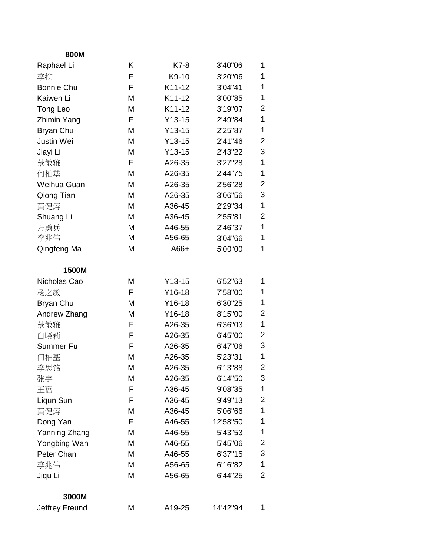| 800M              |   |          |          |                |
|-------------------|---|----------|----------|----------------|
| Raphael Li        | K | K7-8     | 3'40"06  | 1              |
| 李抑                | F | K9-10    | 3'20"06  | 1              |
| <b>Bonnie Chu</b> | F | K11-12   | 3'04"41  | 1              |
| Kaiwen Li         | M | K11-12   | 3'00"85  | 1              |
| Tong Leo          | М | K11-12   | 3'19"07  | 2              |
| Zhimin Yang       | F | $Y13-15$ | 2'49"84  | 1              |
| Bryan Chu         | M | $Y13-15$ | 2'25"87  | 1              |
| <b>Justin Wei</b> | М | $Y13-15$ | 2'41"46  | $\overline{2}$ |
| Jiayi Li          | М | $Y13-15$ | 2'43"22  | 3              |
| 戴敏雅               | F | A26-35   | 3'27"28  | 1              |
| 何柏基               | M | A26-35   | 2'44"75  | 1              |
| Weihua Guan       | М | A26-35   | 2'56"28  | $\overline{2}$ |
| Qiong Tian        | M | A26-35   | 3'06"56  | 3              |
| 黄健涛               | М | A36-45   | 2'29"34  | 1              |
| Shuang Li         | M | A36-45   | 2'55"81  | $\overline{2}$ |
| 万勇兵               | M | A46-55   | 2'46"37  | 1              |
| 李兆伟               | M | A56-65   | 3'04"66  | 1              |
| Qingfeng Ma       | M | $A66+$   | 5'00"00  | 1              |
| 1500M             |   |          |          |                |
| Nicholas Cao      | М | $Y13-15$ | 6'52"63  | 1              |
| 杨之敏               | F | $Y16-18$ | 7'58"00  | 1              |
| Bryan Chu         | M | $Y16-18$ | 6'30"25  | 1              |
| Andrew Zhang      | M | $Y16-18$ | 8'15"00  | $\overline{2}$ |
| 戴敏雅               | F | A26-35   | 6'36"03  | 1              |
| 白晓莉               | F | A26-35   | 6'45"00  | $\overline{2}$ |
| Summer Fu         | F | A26-35   | 6'47"06  | 3              |
| 何柏基               | M | A26-35   | 5'23"31  | 1              |
| 李思铭               | M | A26-35   | 6'13"88  | 2              |
| 张宇                | М | A26-35   | 6'14"50  | 3              |
| 王蓓                | F | A36-45   | 9'08"35  | 1              |
| Liqun Sun         | F | A36-45   | 9'49"13  | 2              |
| 黄健涛               | М | A36-45   | 5'06"66  | 1              |
| Dong Yan          | F | A46-55   | 12'58"50 | 1              |
| Yanning Zhang     | M | A46-55   | 5'43"53  | 1              |
| Yongbing Wan      | M | A46-55   | 5'45"06  | 2              |
| Peter Chan        | Μ | A46-55   | 6'37"15  | 3              |
| 李兆伟               | M | A56-65   | 6'16"82  | 1              |
| Jiqu Li           | M | A56-65   | 6'44"25  | 2              |
| 3000M             |   |          |          |                |
| Jeffrey Freund    | Μ | A19-25   | 14'42"94 | 1              |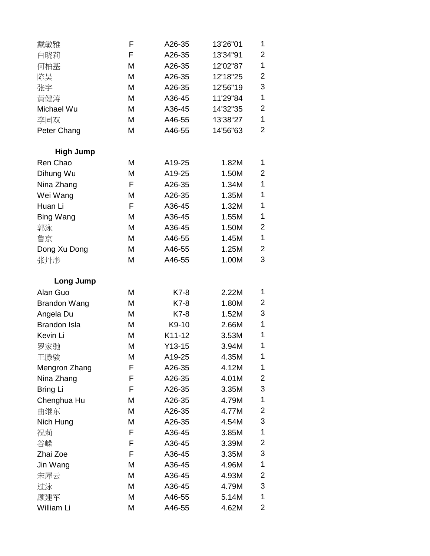| 戴敏雅                 | F | A26-35   | 13'26"01 | 1 |
|---------------------|---|----------|----------|---|
| 白晓莉                 | F | A26-35   | 13'34"91 | 2 |
| 何柏基                 | M | A26-35   | 12'02"87 | 1 |
| 陈昊                  | M | A26-35   | 12'18"25 | 2 |
| 张宇                  | M | A26-35   | 12'56"19 | 3 |
| 黃健涛                 | M | A36-45   | 11'29"84 | 1 |
| Michael Wu          | M | A36-45   | 14'32"35 | 2 |
| 李同双                 | Μ | A46-55   | 13'38"27 | 1 |
| Peter Chang         | M | A46-55   | 14'56"63 | 2 |
| <b>High Jump</b>    |   |          |          |   |
| Ren Chao            | M | A19-25   | 1.82M    | 1 |
| Dihung Wu           | M | A19-25   | 1.50M    | 2 |
| Nina Zhang          | F | A26-35   | 1.34M    | 1 |
| Wei Wang            | Μ | A26-35   | 1.35M    | 1 |
| Huan Li             | F | A36-45   | 1.32M    | 1 |
| Bing Wang           | M | A36-45   | 1.55M    | 1 |
| 郭泳                  | M | A36-45   | 1.50M    | 2 |
| 鲁京                  | M | A46-55   | 1.45M    | 1 |
| Dong Xu Dong        | M | A46-55   | 1.25M    | 2 |
| 张丹彤                 | M | A46-55   | 1.00M    | 3 |
| Long Jump           |   |          |          |   |
| Alan Guo            | M | K7-8     | 2.22M    | 1 |
| <b>Brandon Wang</b> | M | K7-8     | 1.80M    | 2 |
| Angela Du           | M | K7-8     | 1.52M    | 3 |
| <b>Brandon Isla</b> | M | K9-10    | 2.66M    | 1 |
| Kevin Li            | M | K11-12   | 3.53M    | 1 |
| 罗家驰                 | M | $Y13-15$ | 3.94M    | 1 |
| 王滕骏                 | М | A19-25   | 4.35M    | 1 |
| Mengron Zhang       | F | A26-35   | 4.12M    | 1 |
| Nina Zhang          | F | A26-35   | 4.01M    | 2 |
| Bring Li            | F | A26-35   | 3.35M    | 3 |
| Chenghua Hu         | M | A26-35   | 4.79M    | 1 |
| 曲继东                 | M | A26-35   | 4.77M    | 2 |
| Nich Hung           | M | A26-35   | 4.54M    | 3 |
| 祝莉                  | F | A36-45   | 3.85M    | 1 |
| 谷嵘                  | F | A36-45   | 3.39M    | 2 |
| Zhai Zoe            | F | A36-45   | 3.35M    | 3 |
| Jin Wang            | M | A36-45   | 4.96M    | 1 |
| 宋犀云                 | M | A36-45   | 4.93M    | 2 |
| 过泳                  | M | A36-45   | 4.79M    | 3 |
| 顾建军                 | M | A46-55   | 5.14M    | 1 |
| William Li          | M | A46-55   | 4.62M    | 2 |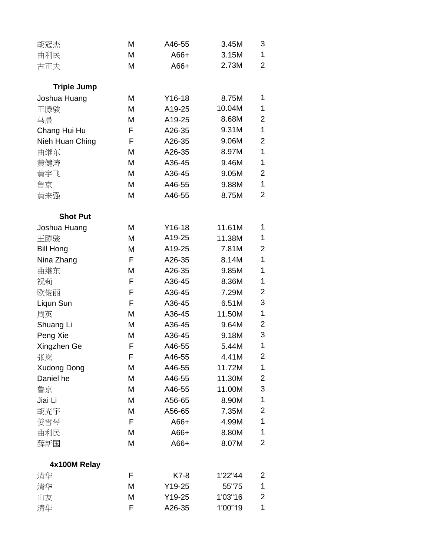| 胡冠杰                | M | A46-55   | 3.45M   | 3                       |
|--------------------|---|----------|---------|-------------------------|
| 曲利民                | M | $A66+$   | 3.15M   | 1                       |
| 古正夫                | M | $A66+$   | 2.73M   | $\overline{2}$          |
| <b>Triple Jump</b> |   |          |         |                         |
| Joshua Huang       | M | $Y16-18$ | 8.75M   | 1                       |
| 王滕骏                | M | A19-25   | 10.04M  | 1                       |
| 马晨                 | M | A19-25   | 8.68M   | 2                       |
| Chang Hui Hu       | F | A26-35   | 9.31M   | 1                       |
| Nieh Huan Ching    | F | A26-35   | 9.06M   | $\overline{2}$          |
| 曲继东                | M | A26-35   | 8.97M   | 1                       |
| 黄健涛                | M | A36-45   | 9.46M   | 1                       |
| 黄宇飞                | M | A36-45   | 9.05M   | 2                       |
| 鲁京                 | M | A46-55   | 9.88M   | 1                       |
| 黄来强                | M | A46-55   | 8.75M   | $\overline{2}$          |
| <b>Shot Put</b>    |   |          |         |                         |
| Joshua Huang       | M | $Y16-18$ | 11.61M  | 1                       |
| 王滕骏                | M | A19-25   | 11.38M  | 1                       |
| <b>Bill Hong</b>   | М | A19-25   | 7.81M   | $\overline{2}$          |
| Nina Zhang         | F | A26-35   | 8.14M   | 1                       |
| 曲继东                | M | A26-35   | 9.85M   | 1                       |
| 祝莉                 | F | A36-45   | 8.36M   | 1                       |
| 欧俊丽                | F | A36-45   | 7.29M   | 2                       |
| Liqun Sun          | F | A36-45   | 6.51M   | 3                       |
| 周英                 | M | A36-45   | 11.50M  | 1                       |
| Shuang Li          | M | A36-45   | 9.64M   | $\overline{\mathbf{c}}$ |
| Peng Xie           | M | A36-45   | 9.18M   | 3                       |
| Xingzhen Ge        | F | A46-55   | 5.44M   | 1                       |
| 张岚                 | F | A46-55   | 4.41M   | 2                       |
| <b>Xudong Dong</b> | M | A46-55   | 11.72M  | 1                       |
| Daniel he          | M | A46-55   | 11.30M  | $\overline{\mathbf{c}}$ |
| 鲁京                 | M | A46-55   | 11.00M  | 3                       |
| Jiai Li            | M | A56-65   | 8.90M   | 1                       |
| 胡光宇                | M | A56-65   | 7.35M   | 2                       |
| 姜雪琴                | F | A66+     | 4.99M   | 1                       |
| 曲利民                | M | A66+     | 8.80M   | 1                       |
| 薛新国                | M | $A66+$   | 8.07M   | 2                       |
| 4x100M Relay       |   |          |         |                         |
| 清华                 | F | K7-8     | 1'22"44 | 2                       |
| 清华                 | M | $Y19-25$ | 55"75   | 1                       |
| 山友                 | M | $Y19-25$ | 1'03"16 | $\overline{c}$          |
| 清华                 | F | A26-35   | 1'00"19 | 1                       |